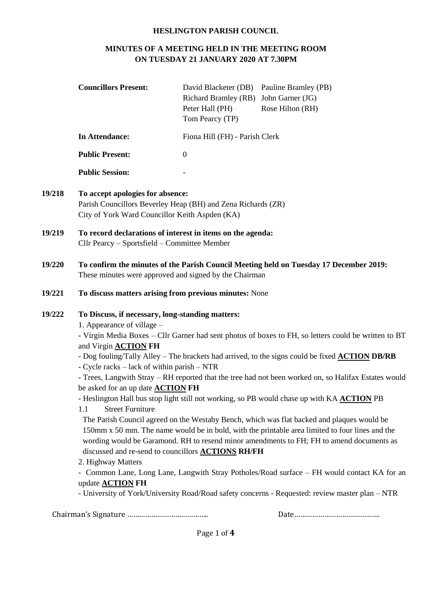## **HESLINGTON PARISH COUNCIL**

# **MINUTES OF A MEETING HELD IN THE MEETING ROOM ON TUESDAY 21 JANUARY 2020 AT 7.30PM**

|        | <b>Councillors Present:</b>                                                                                                                                                                                                                                                                                                                              | David Blacketer (DB) Pauline Bramley (PB)<br><b>Richard Bramley (RB)</b><br>Peter Hall (PH)<br>Tom Pearcy (TP) | John Garner (JG)<br>Rose Hilton (RH)                                                                                                                                                                                                                                                                                                                                                                                                                                                                                                                                                                                                                                                                                                                                                                                                                                                                               |  |  |
|--------|----------------------------------------------------------------------------------------------------------------------------------------------------------------------------------------------------------------------------------------------------------------------------------------------------------------------------------------------------------|----------------------------------------------------------------------------------------------------------------|--------------------------------------------------------------------------------------------------------------------------------------------------------------------------------------------------------------------------------------------------------------------------------------------------------------------------------------------------------------------------------------------------------------------------------------------------------------------------------------------------------------------------------------------------------------------------------------------------------------------------------------------------------------------------------------------------------------------------------------------------------------------------------------------------------------------------------------------------------------------------------------------------------------------|--|--|
|        | In Attendance:                                                                                                                                                                                                                                                                                                                                           | Fiona Hill (FH) - Parish Clerk                                                                                 |                                                                                                                                                                                                                                                                                                                                                                                                                                                                                                                                                                                                                                                                                                                                                                                                                                                                                                                    |  |  |
|        | <b>Public Present:</b>                                                                                                                                                                                                                                                                                                                                   | $\mathbf{0}$                                                                                                   |                                                                                                                                                                                                                                                                                                                                                                                                                                                                                                                                                                                                                                                                                                                                                                                                                                                                                                                    |  |  |
|        | <b>Public Session:</b>                                                                                                                                                                                                                                                                                                                                   |                                                                                                                |                                                                                                                                                                                                                                                                                                                                                                                                                                                                                                                                                                                                                                                                                                                                                                                                                                                                                                                    |  |  |
| 19/218 | To accept apologies for absence:<br>Parish Councillors Beverley Heap (BH) and Zena Richards (ZR)<br>City of York Ward Councillor Keith Aspden (KA)                                                                                                                                                                                                       |                                                                                                                |                                                                                                                                                                                                                                                                                                                                                                                                                                                                                                                                                                                                                                                                                                                                                                                                                                                                                                                    |  |  |
| 19/219 | To record declarations of interest in items on the agenda:<br>Cllr Pearcy - Sportsfield - Committee Member                                                                                                                                                                                                                                               |                                                                                                                |                                                                                                                                                                                                                                                                                                                                                                                                                                                                                                                                                                                                                                                                                                                                                                                                                                                                                                                    |  |  |
| 19/220 | To confirm the minutes of the Parish Council Meeting held on Tuesday 17 December 2019:<br>These minutes were approved and signed by the Chairman                                                                                                                                                                                                         |                                                                                                                |                                                                                                                                                                                                                                                                                                                                                                                                                                                                                                                                                                                                                                                                                                                                                                                                                                                                                                                    |  |  |
| 19/221 | To discuss matters arising from previous minutes: None                                                                                                                                                                                                                                                                                                   |                                                                                                                |                                                                                                                                                                                                                                                                                                                                                                                                                                                                                                                                                                                                                                                                                                                                                                                                                                                                                                                    |  |  |
| 19/222 | To Discuss, if necessary, long-standing matters:<br>1. Appearance of village –<br>and Virgin <b>ACTION</b> FH<br>- Cycle racks – lack of within parish – NTR<br>be asked for an up date <b>ACTION FH</b><br><b>Street Furniture</b><br>1.1<br>discussed and re-send to councillors <b>ACTIONS RH/FH</b><br>2. Highway Matters<br>update <b>ACTION</b> FH |                                                                                                                | - Virgin Media Boxes - Cllr Garner had sent photos of boxes to FH, so letters could be written to BT<br>- Dog fouling/Tally Alley – The brackets had arrived, to the signs could be fixed <b>ACTION DB/RB</b><br>- Trees, Langwith Stray – RH reported that the tree had not been worked on, so Halifax Estates would<br>- Heslington Hall bus stop light still not working, so PB would chase up with KA ACTION PB<br>The Parish Council agreed on the Westaby Bench, which was flat backed and plaques would be<br>150mm x 50 mm. The name would be in bold, with the printable area limited to four lines and the<br>wording would be Garamond. RH to resend minor amendments to FH; FH to amend documents as<br>- Common Lane, Long Lane, Langwith Stray Potholes/Road surface – FH would contact KA for an<br>- University of York/University Road/Road safety concerns - Requested: review master plan – NTR |  |  |

Chairman's Signature ………………………………….. Date…………………………………….

Page 1 of **4**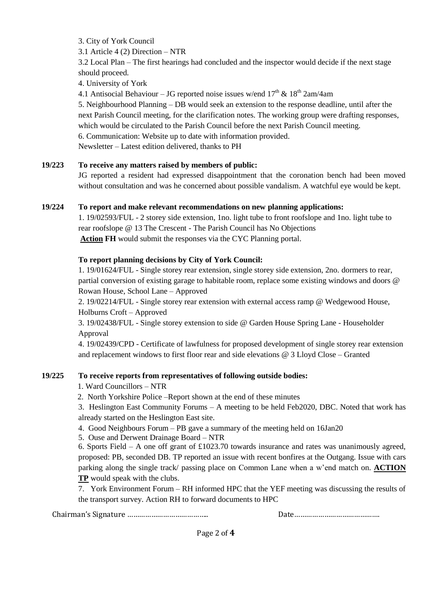3. City of York Council

3.1 Article 4 (2) Direction – NTR

3.2 Local Plan – The first hearings had concluded and the inspector would decide if the next stage should proceed.

4. University of York

4.1 Antisocial Behaviour – JG reported noise issues w/end  $17<sup>th</sup>$  &  $18<sup>th</sup>$  2am/4am

5. Neighbourhood Planning – DB would seek an extension to the response deadline, until after the next Parish Council meeting, for the clarification notes. The working group were drafting responses, which would be circulated to the Parish Council before the next Parish Council meeting. 6. Communication: Website up to date with information provided. Newsletter – Latest edition delivered, thanks to PH

# **19/223 To receive any matters raised by members of public:**

JG reported a resident had expressed disappointment that the coronation bench had been moved without consultation and was he concerned about possible vandalism. A watchful eye would be kept.

# **19/224 To report and make relevant recommendations on new planning applications:**

1. 19/02593/FUL - 2 storey side extension, 1no. light tube to front roofslope and 1no. light tube to rear roofslope @ 13 The Crescent - The Parish Council has No Objections **Action FH** would submit the responses via the CYC Planning portal.

# **To report planning decisions by City of York Council:**

1. 19/01624/FUL - Single storey rear extension, single storey side extension, 2no. dormers to rear, partial conversion of existing garage to habitable room, replace some existing windows and doors @ Rowan House, School Lane – Approved

2. 19/02214/FUL - Single storey rear extension with external access ramp @ Wedgewood House, Holburns Croft – Approved

3. 19/02438/FUL - Single storey extension to side @ Garden House Spring Lane - Householder Approval

4. 19/02439/CPD - Certificate of lawfulness for proposed development of single storey rear extension and replacement windows to first floor rear and side elevations @ 3 Lloyd Close – Granted

## **19/225 To receive reports from representatives of following outside bodies:**

1. Ward Councillors – NTR

2. North Yorkshire Police –Report shown at the end of these minutes

3. Heslington East Community Forums – A meeting to be held Feb2020, DBC. Noted that work has already started on the Heslington East site.

- 4. Good Neighbours Forum PB gave a summary of the meeting held on 16Jan20
- 5. Ouse and Derwent Drainage Board NTR

6. Sports Field – A one off grant of £1023.70 towards insurance and rates was unanimously agreed, proposed: PB, seconded DB. TP reported an issue with recent bonfires at the Outgang. Issue with cars parking along the single track/ passing place on Common Lane when a w'end match on. **ACTION TP** would speak with the clubs.

7. York Environment Forum – RH informed HPC that the YEF meeting was discussing the results of the transport survey. Action RH to forward documents to HPC

Chairman's Signature ………………………………….. Date…………………………………….

Page 2 of **4**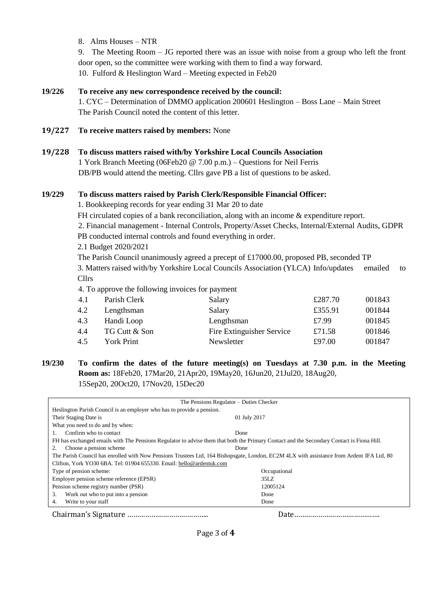8. Alms Houses – NTR

9. The Meeting Room – JG reported there was an issue with noise from a group who left the front door open, so the committee were working with them to find a way forward. 10. Fulford & Heslington Ward – Meeting expected in Feb20

## **19/226 To receive any new correspondence received by the council:**

1. CYC – Determination of DMMO application 200601 Heslington – Boss Lane – Main Street The Parish Council noted the content of this letter.

#### **19/227 To receive matters raised by members:** None

#### **19/228 To discuss matters raised with/by Yorkshire Local Councils Association**

1 York Branch Meeting (06Feb20 @ 7.00 p.m.) – Questions for Neil Ferris DB/PB would attend the meeting. Cllrs gave PB a list of questions to be asked.

#### **19/229 To discuss matters raised by Parish Clerk/Responsible Financial Officer:**

1. Bookkeeping records for year ending 31 Mar 20 to date

FH circulated copies of a bank reconciliation, along with an income & expenditure report.

2. Financial management - Internal Controls, Property/Asset Checks, Internal/External Audits, GDPR PB conducted internal controls and found everything in order.

2.1 Budget 2020/2021

The Parish Council unanimously agreed a precept of £17000.00, proposed PB, seconded TP 3. Matters raised with/by Yorkshire Local Councils Association (YLCA) Info/updates emailed to Cllrs

4. To approve the following invoices for payment

| 4.1 | Parish Clerk      | Salary                    | £287.70 | 001843 |
|-----|-------------------|---------------------------|---------|--------|
| 4.2 | Lengthsman        | Salary                    | £355.91 | 001844 |
| 4.3 | Handi Loop        | Lengthsman                | £7.99   | 001845 |
| 4.4 | TG Cutt & Son     | Fire Extinguisher Service | £71.58  | 001846 |
| 4.5 | <b>York Print</b> | Newsletter                | £97.00  | 001847 |

# **19/230 To confirm the dates of the future meeting(s) on Tuesdays at 7.30 p.m. in the Meeting Room as:** 18Feb20, 17Mar20, 21Apr20, 19May20, 16Jun20, 21Jul20, 18Aug20, 15Sep20, 20Oct20, 17Nov20, 15Dec20

| The Pensions Regulator – Duties Checker                                                                                                   |              |  |  |  |
|-------------------------------------------------------------------------------------------------------------------------------------------|--------------|--|--|--|
| Heslington Parish Council is an employer who has to provide a pension.                                                                    |              |  |  |  |
| Their Staging Date is                                                                                                                     | 01 July 2017 |  |  |  |
| What you need to do and by when:                                                                                                          |              |  |  |  |
| Confirm who to contact                                                                                                                    | Done         |  |  |  |
| FH has exchanged emails with The Pensions Regulator to advise them that both the Primary Contact and the Secondary Contact is Fiona Hill. |              |  |  |  |
| Choose a pension scheme.                                                                                                                  | Done         |  |  |  |
| The Parish Council has enrolled with Now Pensions Trustees Ltd, 164 Bishopsgate, London, EC2M 4LX with assistance from Ardent IFA Ltd, 80 |              |  |  |  |
| Clifton, York YO30 6BA. Tel: 01904 655330. Email: hello@ardentuk.com                                                                      |              |  |  |  |
| Type of pension scheme:                                                                                                                   | Occupational |  |  |  |
| Employer pension scheme reference (EPSR)                                                                                                  | 35LZ         |  |  |  |
| Pension scheme registry number (PSR)                                                                                                      | 12005124     |  |  |  |
| Work out who to put into a pension<br>3.                                                                                                  | Done         |  |  |  |
| Write to your staff<br>4.                                                                                                                 | Done         |  |  |  |
|                                                                                                                                           |              |  |  |  |